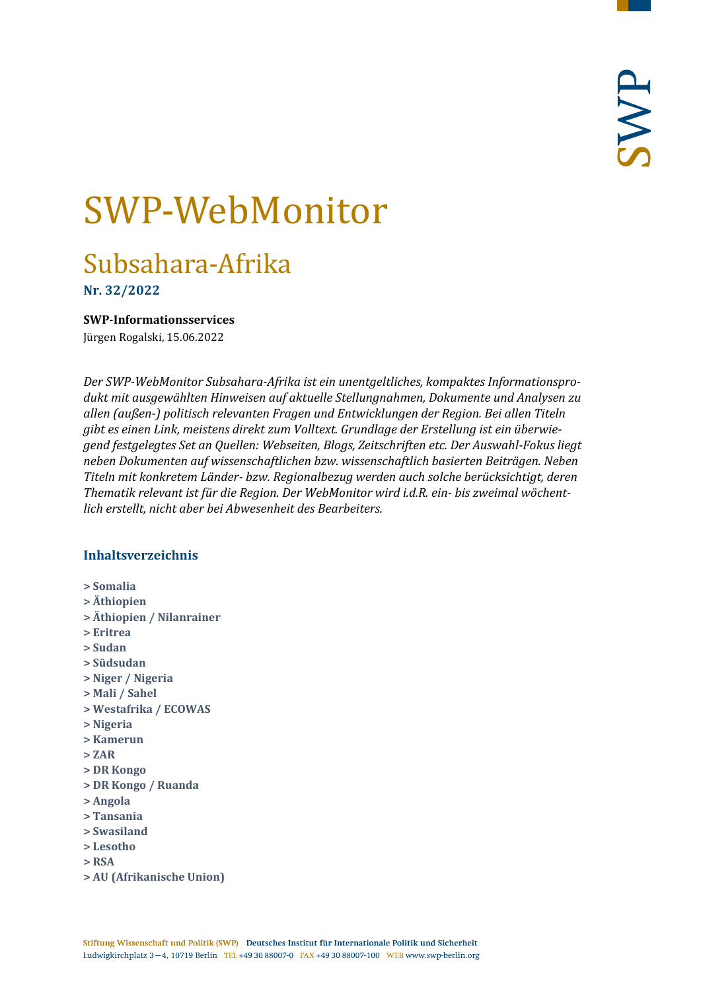# SWP-WebMonitor

# Subsahara-Afrika

**Nr. 32/2022**

<span id="page-0-0"></span>**SWP-Informationsservices**

Jürgen Rogalski, 15.06.2022

*Der SWP-WebMonitor Subsahara-Afrika ist ein unentgeltliches, kompaktes Informationsprodukt mit ausgewählten Hinweisen auf aktuelle Stellungnahmen, Dokumente und Analysen zu allen (außen-) politisch relevanten Fragen und Entwicklungen der Region. Bei allen Titeln gibt es einen Link, meistens direkt zum Volltext. Grundlage der Erstellung ist ein überwiegend festgelegtes Set an Quellen: Webseiten, Blogs, Zeitschriften etc. Der Auswahl-Fokus liegt neben Dokumenten auf wissenschaftlichen bzw. wissenschaftlich basierten Beiträgen. Neben Titeln mit konkretem Länder- bzw. Regionalbezug werden auch solche berücksichtigt, deren Thematik relevant ist für die Region. Der WebMonitor wird i.d.R. ein- bis zweimal wöchentlich erstellt, nicht aber bei Abwesenheit des Bearbeiters.*

# **Inhaltsverzeichnis**

- **[> Somalia](#page-1-0)**
- **[> Äthiopien](#page-2-0)**
- **[> Äthiopien / Nilanrainer](#page-2-1)**
- **[> Eritrea](#page-2-2)**
- **[> Sudan](#page-3-0)**
- **[> Südsudan](#page-3-1)**
- **[> Niger / Nigeria](#page-4-0)**
- **[> Mali / Sahel](#page-4-1)**
- **[> Westafrika / ECOWAS](#page-5-0)**
- **[> Nigeria](#page-6-0)**
- **[> Kamerun](#page-6-1)**
- **[> ZAR](#page-6-2)**
- **[> DR Kongo](#page-7-0)**
- **[> DR Kongo / Ruanda](#page-7-1)**
- **[> Angola](#page-8-0)**
- **[> Tansania](#page-8-1)**
- **[> Swasiland](#page-8-2)**
- **[> Lesotho](#page-9-0)**
- **[> RSA](#page-9-1)**
- **[> AU \(Afrikanische Union\)](#page-9-2)**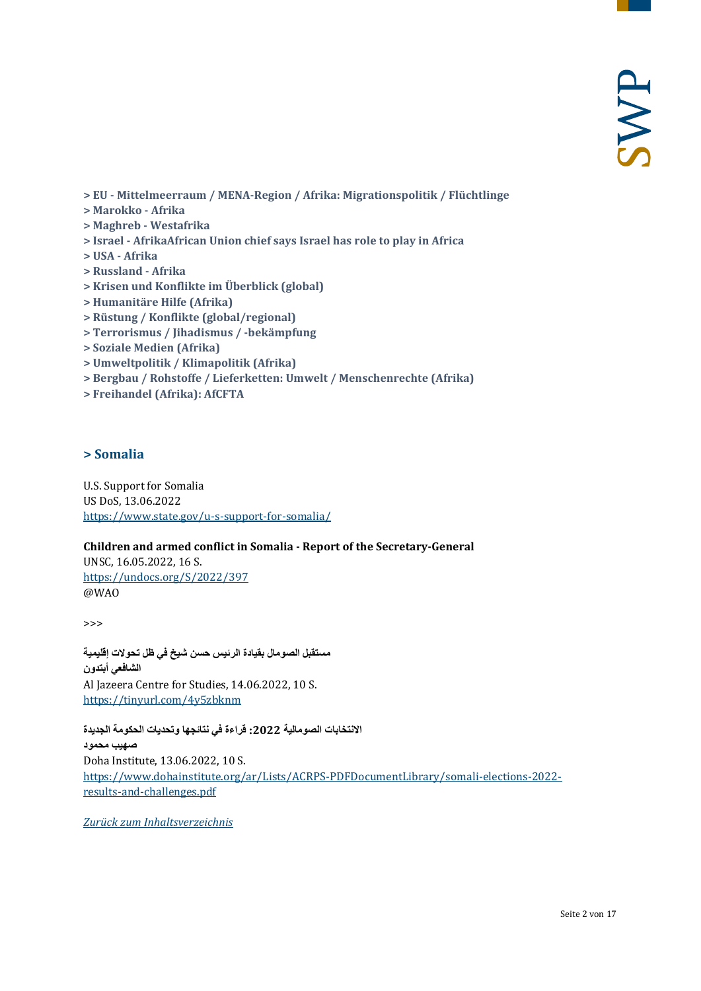- **> EU - [Mittelmeerraum / MENA-Region / Afrika: Migrationspolitik / Flüchtlinge](#page-10-0)**
- **[> Marokko -](#page-11-0) Afrika**
- **[> Maghreb -](#page-11-1) Westafrika**
- **> Israel - [AfrikaAfrican Union chief says Israel has role to play in Africa](#page-12-0)**
- **[> USA -](#page-12-1) Afrika**
- **[> Russland -](#page-12-2) Afrika**
- **[> Krisen und Konflikte im Überblick \(global\)](#page-12-3)**
- **[> Humanitäre Hilfe \(Afrika\)](#page-12-4)**
- **[> Rüstung / Konflikte \(global/regional\)](#page-13-0)**
- **[> Terrorismus / Jihadismus / -bekämpfung](#page-13-1)**
- **[> Soziale Medien \(Afrika\)](#page-14-0)**
- **[> Umweltpolitik / Klimapolitik \(Afrika\)](#page-14-1)**
- **[> Bergbau / Rohstoffe / Lieferketten: Umwelt / Menschenrechte \(Afrika\)](#page-14-2)**
- <span id="page-1-0"></span>**[> Freihandel \(Afrika\): AfCFTA](#page-15-0)**

# **> Somalia**

U.S. Support for Somalia US DoS, 13.06.2022 <https://www.state.gov/u-s-support-for-somalia/>

#### **Children and armed conflict in Somalia - Report of the Secretary-General**

UNSC, 16.05.2022, 16 S. <https://undocs.org/S/2022/397> @WAO

>>>

**مستقبل الصومال بقیادة الرئیس حسن شیخ في ظل تحولات إقلیمیة الشافعي أبتدون** Al Jazeera Centre for Studies, 14.06.2022, 10 S. <https://tinyurl.com/4y5zbknm>

**الانتخابات الصومالیة :2022 قراءة في نتائجھا وتحدیات الحكومة الجدیدة**

**صھیب محمود** Doha Institute, 13.06.2022, 10 S. [https://www.dohainstitute.org/ar/Lists/ACRPS-PDFDocumentLibrary/somali-elections-2022](https://www.dohainstitute.org/ar/Lists/ACRPS-PDFDocumentLibrary/somali-elections-2022-results-and-challenges.pdf) [results-and-challenges.pdf](https://www.dohainstitute.org/ar/Lists/ACRPS-PDFDocumentLibrary/somali-elections-2022-results-and-challenges.pdf)

*[Zurück zum Inhaltsverzeichnis](#page-0-0)*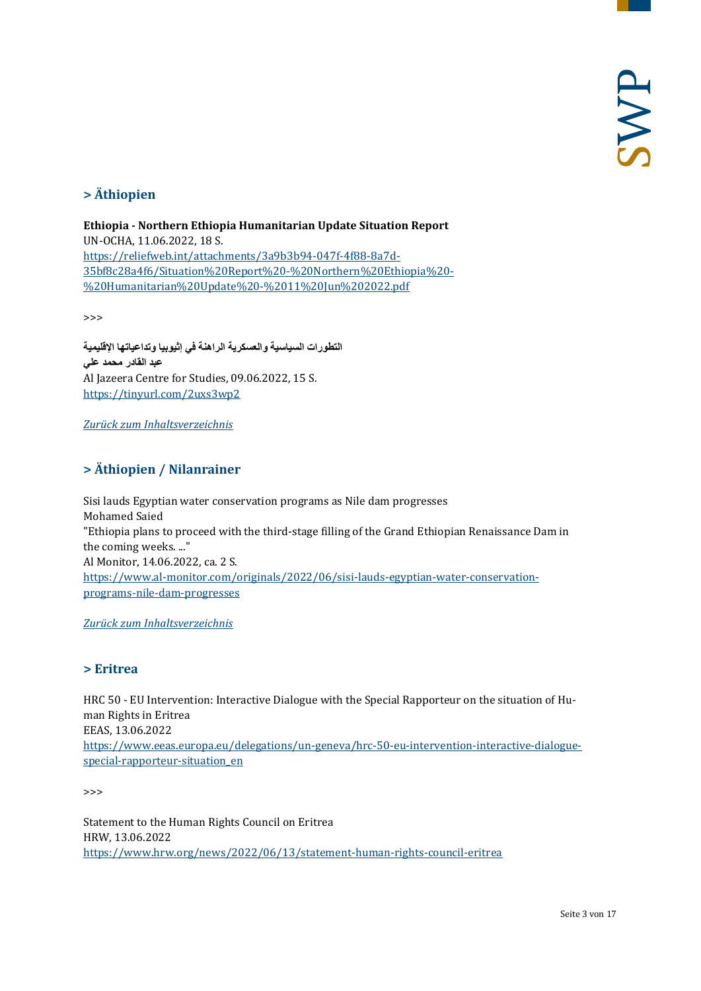# <span id="page-2-0"></span>**> Äthiopien**

**Ethiopia - Northern Ethiopia Humanitarian Update Situation Report** UN-OCHA, 11.06.2022, 18 S. [https://reliefweb.int/attachments/3a9b3b94-047f-4f88-8a7d-](https://reliefweb.int/attachments/3a9b3b94-047f-4f88-8a7d-35bf8c28a4f6/Situation%20Report%20-%20Northern%20Ethiopia%20-%20Humanitarian%20Update%20-%2011%20Jun%202022.pdf)[35bf8c28a4f6/Situation%20Report%20-%20Northern%20Ethiopia%20-](https://reliefweb.int/attachments/3a9b3b94-047f-4f88-8a7d-35bf8c28a4f6/Situation%20Report%20-%20Northern%20Ethiopia%20-%20Humanitarian%20Update%20-%2011%20Jun%202022.pdf) [%20Humanitarian%20Update%20-%2011%20Jun%202022.pdf](https://reliefweb.int/attachments/3a9b3b94-047f-4f88-8a7d-35bf8c28a4f6/Situation%20Report%20-%20Northern%20Ethiopia%20-%20Humanitarian%20Update%20-%2011%20Jun%202022.pdf)

>>>

**التطورات السیاسیة والعسكریة الراھنة في إثیوبیا وتداعیاتھا الإقلیمیة عبد القادر محمد علي** Al Jazeera Centre for Studies, 09.06.2022, 15 S. <https://tinyurl.com/2uxs3wp2>

<span id="page-2-1"></span>*[Zurück zum Inhaltsverzeichnis](#page-0-0)*

# **> Äthiopien / Nilanrainer**

Sisi lauds Egyptian water conservation programs as Nile dam progresses Mohamed Saied "Ethiopia plans to proceed with the third-stage filling of the Grand Ethiopian Renaissance Dam in the coming weeks. ..." Al Monitor, 14.06.2022, ca. 2 S. [https://www.al-monitor.com/originals/2022/06/sisi-lauds-egyptian-water-conservation](https://www.al-monitor.com/originals/2022/06/sisi-lauds-egyptian-water-conservation-programs-nile-dam-progresses)[programs-nile-dam-progresses](https://www.al-monitor.com/originals/2022/06/sisi-lauds-egyptian-water-conservation-programs-nile-dam-progresses)

<span id="page-2-2"></span>*[Zurück zum Inhaltsverzeichnis](#page-0-0)*

# **> Eritrea**

HRC 50 - EU Intervention: Interactive Dialogue with the Special Rapporteur on the situation of Human Rights in Eritrea EEAS, 13.06.2022 [https://www.eeas.europa.eu/delegations/un-geneva/hrc-50-eu-intervention-interactive-dialogue](https://www.eeas.europa.eu/delegations/un-geneva/hrc-50-eu-intervention-interactive-dialogue-special-rapporteur-situation_en)special-rapporteur-situation en

>>>

Statement to the Human Rights Council on Eritrea HRW, 13.06.2022 <https://www.hrw.org/news/2022/06/13/statement-human-rights-council-eritrea>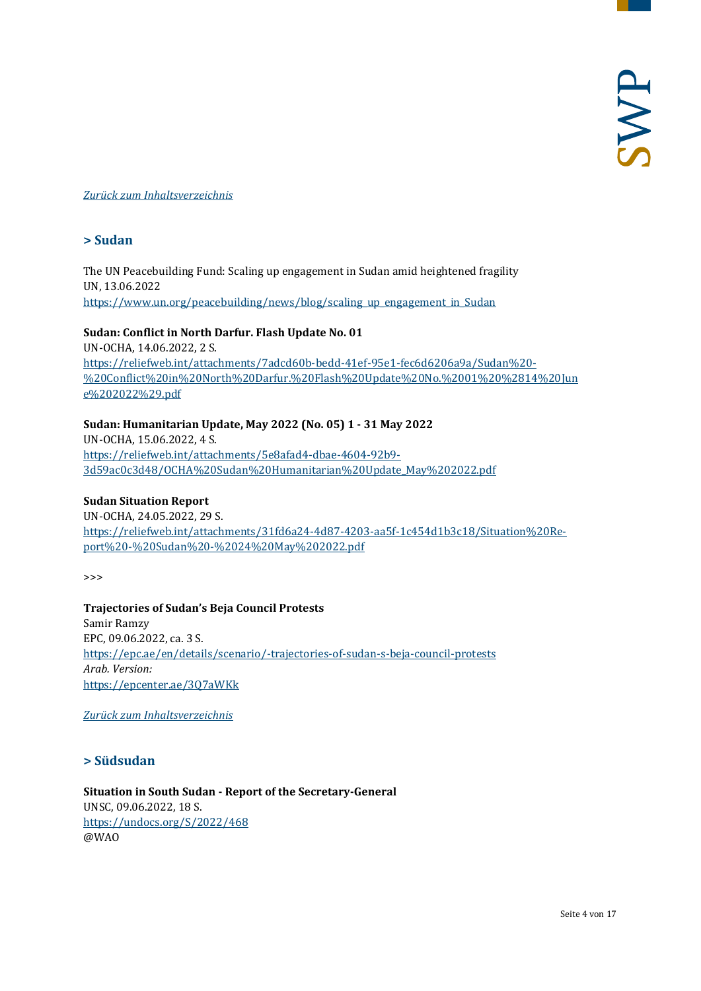#### <span id="page-3-0"></span>*[Zurück zum Inhaltsverzeichnis](#page-0-0)*

# **> Sudan**

The UN Peacebuilding Fund: Scaling up engagement in Sudan amid heightened fragility UN, 13.06.2022 [https://www.un.org/peacebuilding/news/blog/scaling\\_up\\_engagement\\_in\\_Sudan](https://www.un.org/peacebuilding/news/blog/scaling_up_engagement_in_Sudan)

#### **Sudan: Conflict in North Darfur. Flash Update No. 01**

UN-OCHA, 14.06.2022, 2 S. [https://reliefweb.int/attachments/7adcd60b-bedd-41ef-95e1-fec6d6206a9a/Sudan%20-](https://reliefweb.int/attachments/7adcd60b-bedd-41ef-95e1-fec6d6206a9a/Sudan%20-%20Conflict%20in%20North%20Darfur.%20Flash%20Update%20No.%2001%20%2814%20June%202022%29.pdf) [%20Conflict%20in%20North%20Darfur.%20Flash%20Update%20No.%2001%20%2814%20Jun](https://reliefweb.int/attachments/7adcd60b-bedd-41ef-95e1-fec6d6206a9a/Sudan%20-%20Conflict%20in%20North%20Darfur.%20Flash%20Update%20No.%2001%20%2814%20June%202022%29.pdf) [e%202022%29.pdf](https://reliefweb.int/attachments/7adcd60b-bedd-41ef-95e1-fec6d6206a9a/Sudan%20-%20Conflict%20in%20North%20Darfur.%20Flash%20Update%20No.%2001%20%2814%20June%202022%29.pdf)

#### **Sudan: Humanitarian Update, May 2022 (No. 05) 1 - 31 May 2022**

UN-OCHA, 15.06.2022, 4 S. [https://reliefweb.int/attachments/5e8afad4-dbae-4604-92b9-](https://reliefweb.int/attachments/5e8afad4-dbae-4604-92b9-3d59ac0c3d48/OCHA%20Sudan%20Humanitarian%20Update_May%202022.pdf) [3d59ac0c3d48/OCHA%20Sudan%20Humanitarian%20Update\\_May%202022.pdf](https://reliefweb.int/attachments/5e8afad4-dbae-4604-92b9-3d59ac0c3d48/OCHA%20Sudan%20Humanitarian%20Update_May%202022.pdf)

#### **Sudan Situation Report**

UN-OCHA, 24.05.2022, 29 S. [https://reliefweb.int/attachments/31fd6a24-4d87-4203-aa5f-1c454d1b3c18/Situation%20Re](https://reliefweb.int/attachments/31fd6a24-4d87-4203-aa5f-1c454d1b3c18/Situation%20Report%20-%20Sudan%20-%2024%20May%202022.pdf)[port%20-%20Sudan%20-%2024%20May%202022.pdf](https://reliefweb.int/attachments/31fd6a24-4d87-4203-aa5f-1c454d1b3c18/Situation%20Report%20-%20Sudan%20-%2024%20May%202022.pdf)

>>>

**Trajectories of Sudan's Beja Council Protests** Samir Ramzy EPC, 09.06.2022, ca. 3 S. <https://epc.ae/en/details/scenario/-trajectories-of-sudan-s-beja-council-protests> *Arab. Version:* <https://epcenter.ae/3Q7aWKk>

<span id="page-3-1"></span>*[Zurück zum Inhaltsverzeichnis](#page-0-0)*

#### **> Südsudan**

**Situation in South Sudan - Report of the Secretary-General** UNSC, 09.06.2022, 18 S. <https://undocs.org/S/2022/468> @WAO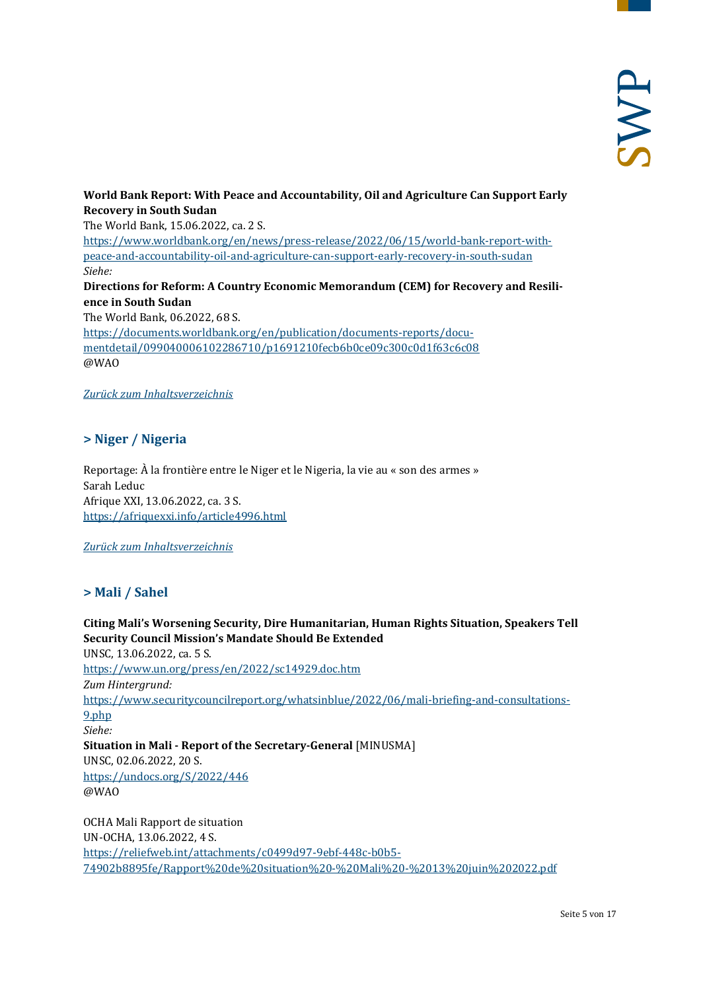#### **World Bank Report: With Peace and Accountability, Oil and Agriculture Can Support Early Recovery in South Sudan** The World Bank, 15.06.2022, ca. 2 S.

[https://www.worldbank.org/en/news/press-release/2022/06/15/world-bank-report-with](https://www.worldbank.org/en/news/press-release/2022/06/15/world-bank-report-with-peace-and-accountability-oil-and-agriculture-can-support-early-recovery-in-south-sudan)[peace-and-accountability-oil-and-agriculture-can-support-early-recovery-in-south-sudan](https://www.worldbank.org/en/news/press-release/2022/06/15/world-bank-report-with-peace-and-accountability-oil-and-agriculture-can-support-early-recovery-in-south-sudan) *Siehe:* **Directions for Reform: A Country Economic Memorandum (CEM) for Recovery and Resilience in South Sudan** The World Bank, 06.2022, 68 S. [https://documents.worldbank.org/en/publication/documents-reports/docu](https://documents.worldbank.org/en/publication/documents-reports/documentdetail/099040006102286710/p1691210fecb6b0ce09c300c0d1f63c6c08)[mentdetail/099040006102286710/p1691210fecb6b0ce09c300c0d1f63c6c08](https://documents.worldbank.org/en/publication/documents-reports/documentdetail/099040006102286710/p1691210fecb6b0ce09c300c0d1f63c6c08) @WAO

#### <span id="page-4-0"></span>*[Zurück zum Inhaltsverzeichnis](#page-0-0)*

#### **> Niger / Nigeria**

Reportage: À la frontière entre le Niger et le Nigeria, la vie au « son des armes » Sarah Leduc Afrique XXI, 13.06.2022, ca. 3 S. <https://afriquexxi.info/article4996.html>

#### <span id="page-4-1"></span>*[Zurück zum Inhaltsverzeichnis](#page-0-0)*

# **> Mali / Sahel**

**Citing Mali's Worsening Security, Dire Humanitarian, Human Rights Situation, Speakers Tell Security Council Mission's Mandate Should Be Extended** UNSC, 13.06.2022, ca. 5 S. <https://www.un.org/press/en/2022/sc14929.doc.htm> *Zum Hintergrund:* [https://www.securitycouncilreport.org/whatsinblue/2022/06/mali-briefing-and-consultations-](https://www.securitycouncilreport.org/whatsinblue/2022/06/mali-briefing-and-consultations-9.php)[9.php](https://www.securitycouncilreport.org/whatsinblue/2022/06/mali-briefing-and-consultations-9.php) *Siehe:* **Situation in Mali - Report of the Secretary-General** [MINUSMA] UNSC, 02.06.2022, 20 S. <https://undocs.org/S/2022/446> @WAO OCHA Mali Rapport de situation

UN-OCHA, 13.06.2022, 4 S. [https://reliefweb.int/attachments/c0499d97-9ebf-448c-b0b5-](https://reliefweb.int/attachments/c0499d97-9ebf-448c-b0b5-74902b8895fe/Rapport%20de%20situation%20-%20Mali%20-%2013%20juin%202022.pdf) [74902b8895fe/Rapport%20de%20situation%20-%20Mali%20-%2013%20juin%202022.pdf](https://reliefweb.int/attachments/c0499d97-9ebf-448c-b0b5-74902b8895fe/Rapport%20de%20situation%20-%20Mali%20-%2013%20juin%202022.pdf)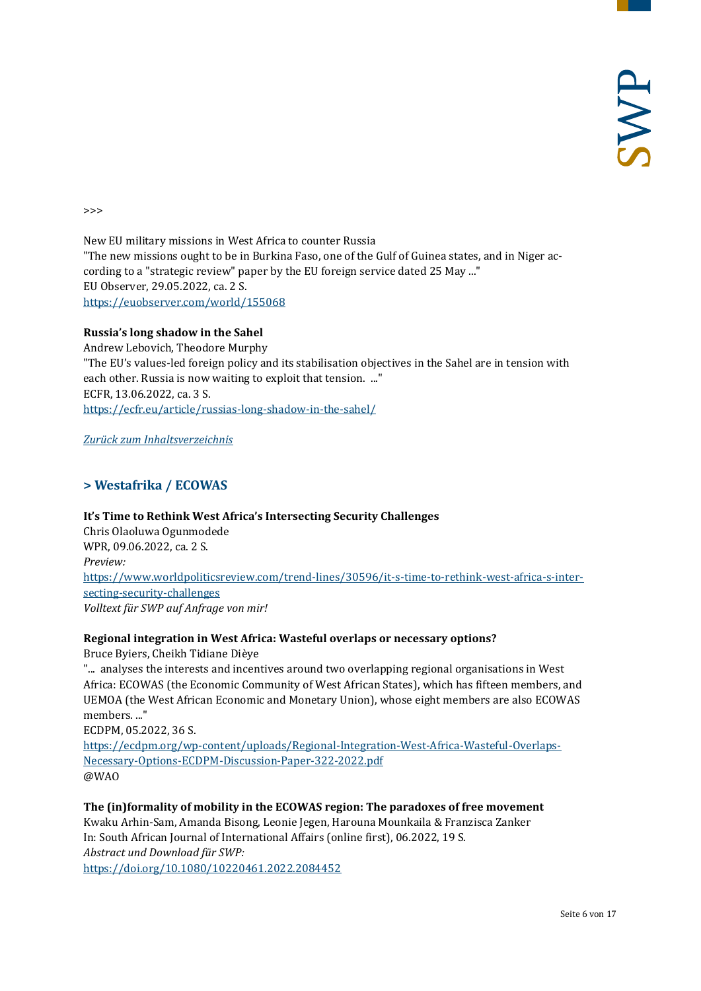>>>

New EU military missions in West Africa to counter Russia "The new missions ought to be in Burkina Faso, one of the Gulf of Guinea states, and in Niger according to a "strategic review" paper by the EU foreign service dated 25 May ..." EU Observer, 29.05.2022, ca. 2 S. <https://euobserver.com/world/155068>

#### **Russia's long shadow in the Sahel**

Andrew Lebovich, Theodore Murphy "The EU's values-led foreign policy and its stabilisation objectives in the Sahel are in tension with each other. Russia is now waiting to exploit that tension. ..." ECFR, 13.06.2022, ca. 3 S. <https://ecfr.eu/article/russias-long-shadow-in-the-sahel/>

<span id="page-5-0"></span>*[Zurück zum Inhaltsverzeichnis](#page-0-0)*

# **> Westafrika / ECOWAS**

**It's Time to Rethink West Africa's Intersecting Security Challenges** Chris Olaoluwa Ogunmodede WPR, 09.06.2022, ca. 2 S. *Preview:* [https://www.worldpoliticsreview.com/trend-lines/30596/it-s-time-to-rethink-west-africa-s-inter](https://www.worldpoliticsreview.com/trend-lines/30596/it-s-time-to-rethink-west-africa-s-intersecting-security-challenges)[secting-security-challenges](https://www.worldpoliticsreview.com/trend-lines/30596/it-s-time-to-rethink-west-africa-s-intersecting-security-challenges) *Volltext für SWP auf Anfrage von mir!*

#### **Regional integration in West Africa: Wasteful overlaps or necessary options?**

Bruce Byiers, Cheikh Tidiane Dièye

"... analyses the interests and incentives around two overlapping regional organisations in West Africa: ECOWAS (the Economic Community of West African States), which has fifteen members, and UEMOA (the West African Economic and Monetary Union), whose eight members are also ECOWAS members. ..."

ECDPM, 05.2022, 36 S.

[https://ecdpm.org/wp-content/uploads/Regional-Integration-West-Africa-Wasteful-Overlaps-](https://ecdpm.org/wp-content/uploads/Regional-Integration-West-Africa-Wasteful-Overlaps-Necessary-Options-ECDPM-Discussion-Paper-322-2022.pdf)[Necessary-Options-ECDPM-Discussion-Paper-322-2022.pdf](https://ecdpm.org/wp-content/uploads/Regional-Integration-West-Africa-Wasteful-Overlaps-Necessary-Options-ECDPM-Discussion-Paper-322-2022.pdf) @WAO

**The (in)formality of mobility in the ECOWAS region: The paradoxes of free movement** Kwaku Arhin-Sam, Amanda Bisong, Leonie Jegen, Harouna Mounkaila & Franzisca Zanker In: South African Journal of International Affairs (online first), 06.2022, 19 S. *Abstract und Download für SWP:* <https://doi.org/10.1080/10220461.2022.2084452>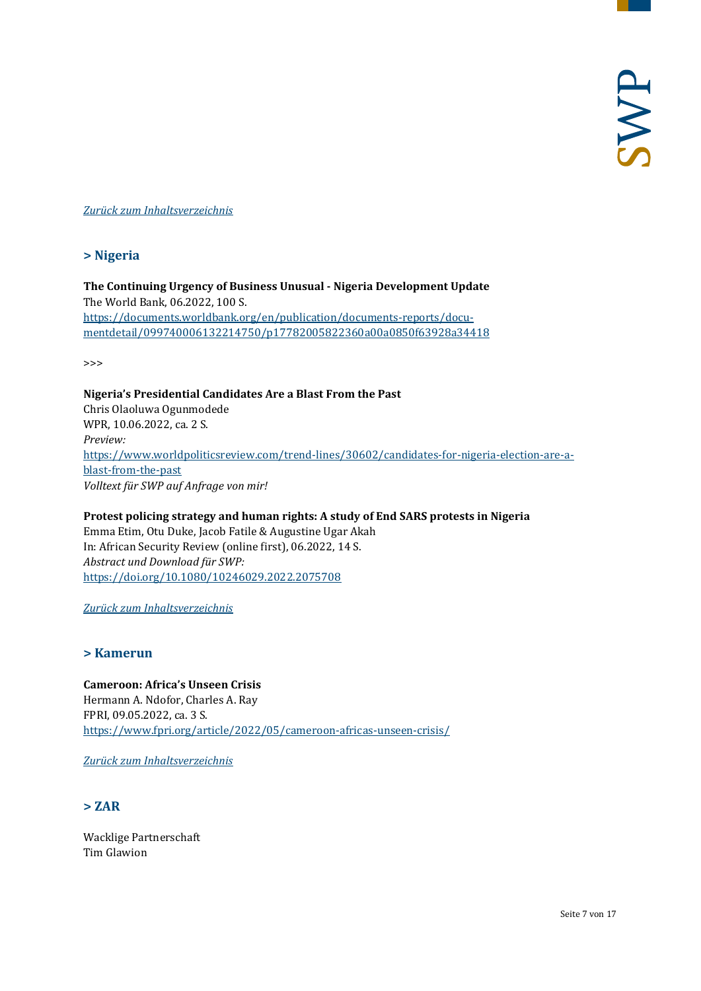#### <span id="page-6-0"></span>*[Zurück zum Inhaltsverzeichnis](#page-0-0)*

#### **> Nigeria**

**The Continuing Urgency of Business Unusual - Nigeria Development Update** The World Bank, 06.2022, 100 S. [https://documents.worldbank.org/en/publication/documents-reports/docu](https://documents.worldbank.org/en/publication/documents-reports/documentdetail/099740006132214750/p17782005822360a00a0850f63928a34418)[mentdetail/099740006132214750/p17782005822360a00a0850f63928a34418](https://documents.worldbank.org/en/publication/documents-reports/documentdetail/099740006132214750/p17782005822360a00a0850f63928a34418)

>>>

**Nigeria's Presidential Candidates Are a Blast From the Past** Chris Olaoluwa Ogunmodede WPR, 10.06.2022, ca. 2 S. *Preview:* [https://www.worldpoliticsreview.com/trend-lines/30602/candidates-for-nigeria-election-are-a](https://www.worldpoliticsreview.com/trend-lines/30602/candidates-for-nigeria-election-are-a-blast-from-the-past)[blast-from-the-past](https://www.worldpoliticsreview.com/trend-lines/30602/candidates-for-nigeria-election-are-a-blast-from-the-past) *Volltext für SWP auf Anfrage von mir!*

**Protest policing strategy and human rights: A study of End SARS protests in Nigeria** Emma Etim, Otu Duke, Jacob Fatile & Augustine Ugar Akah In: African Security Review (online first), 06.2022, 14 S. *Abstract und Download für SWP:* <https://doi.org/10.1080/10246029.2022.2075708>

<span id="page-6-1"></span>*[Zurück zum Inhaltsverzeichnis](#page-0-0)*

#### **> Kamerun**

**Cameroon: Africa's Unseen Crisis** Hermann A. Ndofor, Charles A. Ray FPRI, 09.05.2022, ca. 3 S. <https://www.fpri.org/article/2022/05/cameroon-africas-unseen-crisis/>

<span id="page-6-2"></span>*[Zurück zum Inhaltsverzeichnis](#page-0-0)*

#### **> ZAR**

Wacklige Partnerschaft Tim Glawion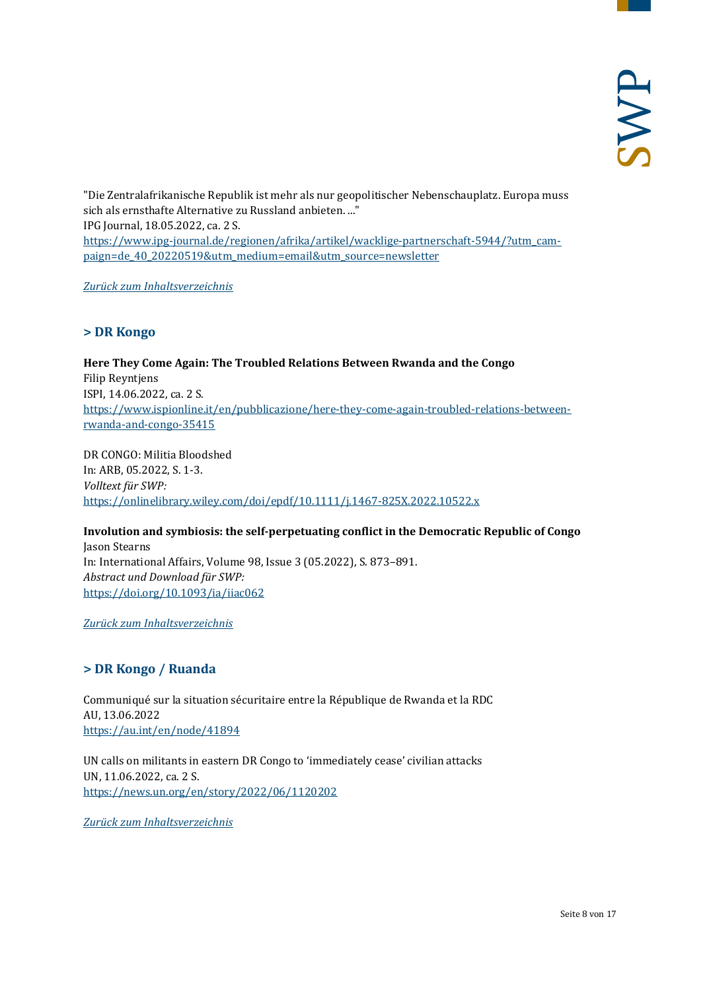"Die Zentralafrikanische Republik ist mehr als nur geopolitischer Nebenschauplatz. Europa muss sich als ernsthafte Alternative zu Russland anbieten. ..." IPG Journal, 18.05.2022, ca. 2 S. [https://www.ipg-journal.de/regionen/afrika/artikel/wacklige-partnerschaft-5944/?utm\\_cam](https://www.ipg-journal.de/regionen/afrika/artikel/wacklige-partnerschaft-5944/?utm_campaign=de_40_20220519&utm_medium=email&utm_source=newsletter)[paign=de\\_40\\_20220519&utm\\_medium=email&utm\\_source=newsletter](https://www.ipg-journal.de/regionen/afrika/artikel/wacklige-partnerschaft-5944/?utm_campaign=de_40_20220519&utm_medium=email&utm_source=newsletter)

<span id="page-7-0"></span>*[Zurück zum Inhaltsverzeichnis](#page-0-0)*

# **> DR Kongo**

**Here They Come Again: The Troubled Relations Between Rwanda and the Congo** Filip Reyntjens ISPI, 14.06.2022, ca. 2 S. [https://www.ispionline.it/en/pubblicazione/here-they-come-again-troubled-relations-between](https://www.ispionline.it/en/pubblicazione/here-they-come-again-troubled-relations-between-rwanda-and-congo-35415)[rwanda-and-congo-35415](https://www.ispionline.it/en/pubblicazione/here-they-come-again-troubled-relations-between-rwanda-and-congo-35415)

DR CONGO: Militia Bloodshed In: ARB, 05.2022, S. 1-3. *Volltext für SWP:* <https://onlinelibrary.wiley.com/doi/epdf/10.1111/j.1467-825X.2022.10522.x>

**Involution and symbiosis: the self-perpetuating conflict in the Democratic Republic of Congo** Jason Stearns In: International Affairs, Volume 98, Issue 3 (05.2022), S. 873–891. *Abstract und Download für SWP:* <https://doi.org/10.1093/ia/iiac062>

<span id="page-7-1"></span>*[Zurück zum Inhaltsverzeichnis](#page-0-0)*

# **> DR Kongo / Ruanda**

Communiqué sur la situation sécuritaire entre la République de Rwanda et la RDC AU, 13.06.2022 <https://au.int/en/node/41894>

UN calls on militants in eastern DR Congo to 'immediately cease' civilian attacks UN, 11.06.2022, ca. 2 S. <https://news.un.org/en/story/2022/06/1120202>

*[Zurück zum Inhaltsverzeichnis](#page-0-0)*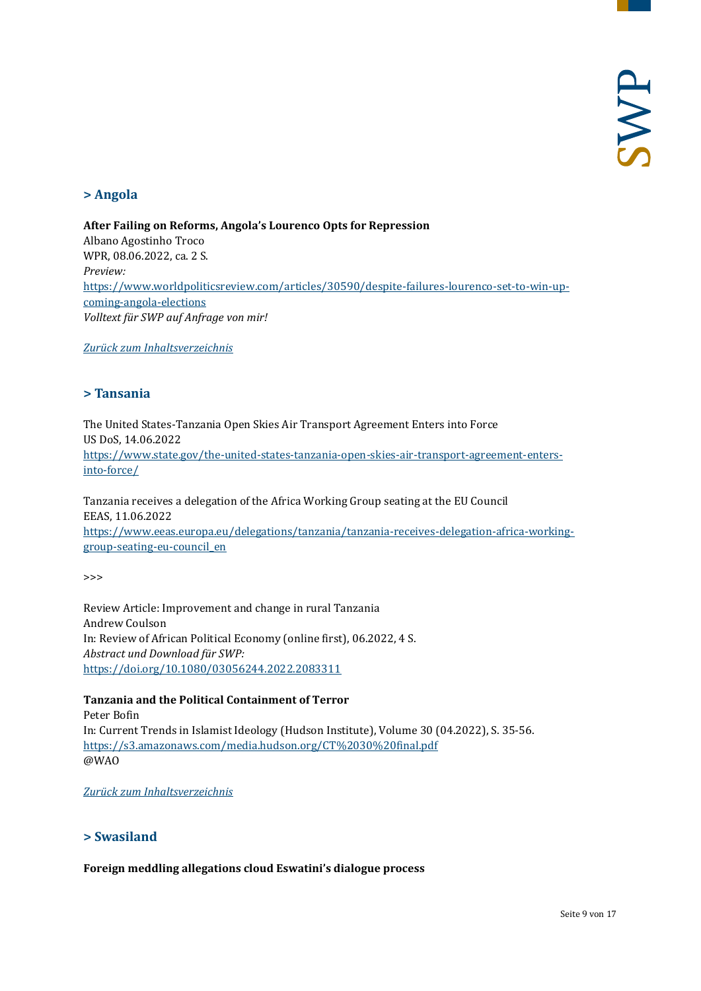# <span id="page-8-0"></span>**> Angola**

**After Failing on Reforms, Angola's Lourenco Opts for Repression** Albano Agostinho Troco WPR, 08.06.2022, ca. 2 S. *Preview:* [https://www.worldpoliticsreview.com/articles/30590/despite-failures-lourenco-set-to-win-up](https://www.worldpoliticsreview.com/articles/30590/despite-failures-lourenco-set-to-win-upcoming-angola-elections)[coming-angola-elections](https://www.worldpoliticsreview.com/articles/30590/despite-failures-lourenco-set-to-win-upcoming-angola-elections) *Volltext für SWP auf Anfrage von mir!*

<span id="page-8-1"></span>*[Zurück zum Inhaltsverzeichnis](#page-0-0)*

#### **> Tansania**

The United States-Tanzania Open Skies Air Transport Agreement Enters into Force US DoS, 14.06.2022 [https://www.state.gov/the-united-states-tanzania-open-skies-air-transport-agreement-enters](https://www.state.gov/the-united-states-tanzania-open-skies-air-transport-agreement-enters-into-force/)[into-force/](https://www.state.gov/the-united-states-tanzania-open-skies-air-transport-agreement-enters-into-force/)

Tanzania receives a delegation of the Africa Working Group seating at the EU Council EEAS, 11.06.2022 [https://www.eeas.europa.eu/delegations/tanzania/tanzania-receives-delegation-africa-working](https://www.eeas.europa.eu/delegations/tanzania/tanzania-receives-delegation-africa-working-group-seating-eu-council_en)[group-seating-eu-council\\_en](https://www.eeas.europa.eu/delegations/tanzania/tanzania-receives-delegation-africa-working-group-seating-eu-council_en)

>>>

Review Article: Improvement and change in rural Tanzania Andrew Coulson In: Review of African Political Economy (online first), 06.2022, 4 S. *Abstract und Download für SWP:* <https://doi.org/10.1080/03056244.2022.2083311>

#### **Tanzania and the Political Containment of Terror**

Peter Bofin In: Current Trends in Islamist Ideology (Hudson Institute), Volume 30 (04.2022), S. 35-56. <https://s3.amazonaws.com/media.hudson.org/CT%2030%20final.pdf> @WAO

<span id="page-8-2"></span>*[Zurück zum Inhaltsverzeichnis](#page-0-0)*

# **> Swasiland**

**Foreign meddling allegations cloud Eswatini's dialogue process**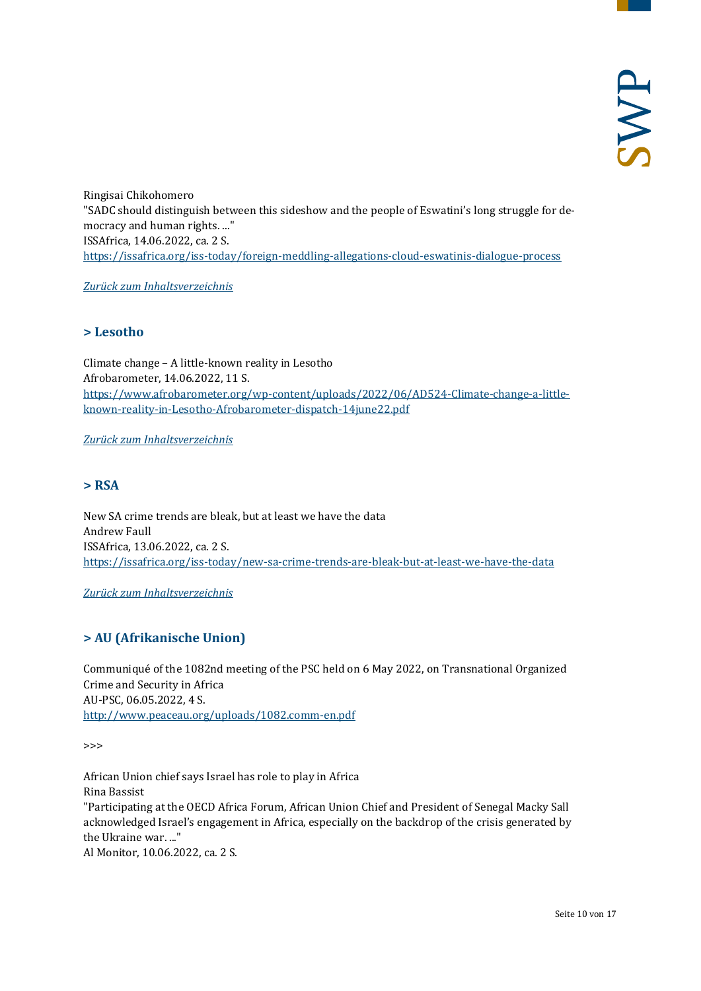Ringisai Chikohomero "SADC should distinguish between this sideshow and the people of Eswatini's long struggle for democracy and human rights. ..." ISSAfrica, 14.06.2022, ca. 2 S. <https://issafrica.org/iss-today/foreign-meddling-allegations-cloud-eswatinis-dialogue-process>

<span id="page-9-0"></span>*[Zurück zum Inhaltsverzeichnis](#page-0-0)*

# **> Lesotho**

Climate change – A little-known reality in Lesotho Afrobarometer, 14.06.2022, 11 S. [https://www.afrobarometer.org/wp-content/uploads/2022/06/AD524-Climate-change-a-little](https://www.afrobarometer.org/wp-content/uploads/2022/06/AD524-Climate-change-a-little-known-reality-in-Lesotho-Afrobarometer-dispatch-14june22.pdf)[known-reality-in-Lesotho-Afrobarometer-dispatch-14june22.pdf](https://www.afrobarometer.org/wp-content/uploads/2022/06/AD524-Climate-change-a-little-known-reality-in-Lesotho-Afrobarometer-dispatch-14june22.pdf)

<span id="page-9-1"></span>*[Zurück zum Inhaltsverzeichnis](#page-0-0)*

# **> RSA**

New SA crime trends are bleak, but at least we have the data Andrew Faull ISSAfrica, 13.06.2022, ca. 2 S. <https://issafrica.org/iss-today/new-sa-crime-trends-are-bleak-but-at-least-we-have-the-data>

<span id="page-9-2"></span>*[Zurück zum Inhaltsverzeichnis](#page-0-0)*

# **> AU (Afrikanische Union)**

Communiqué of the 1082nd meeting of the PSC held on 6 May 2022, on Transnational Organized Crime and Security in Africa AU-PSC, 06.05.2022, 4 S. <http://www.peaceau.org/uploads/1082.comm-en.pdf>

>>>

African Union chief says Israel has role to play in Africa Rina Bassist "Participating at the OECD Africa Forum, African Union Chief and President of Senegal Macky Sall acknowledged Israel's engagement in Africa, especially on the backdrop of the crisis generated by the Ukraine war. ..." Al Monitor, 10.06.2022, ca. 2 S.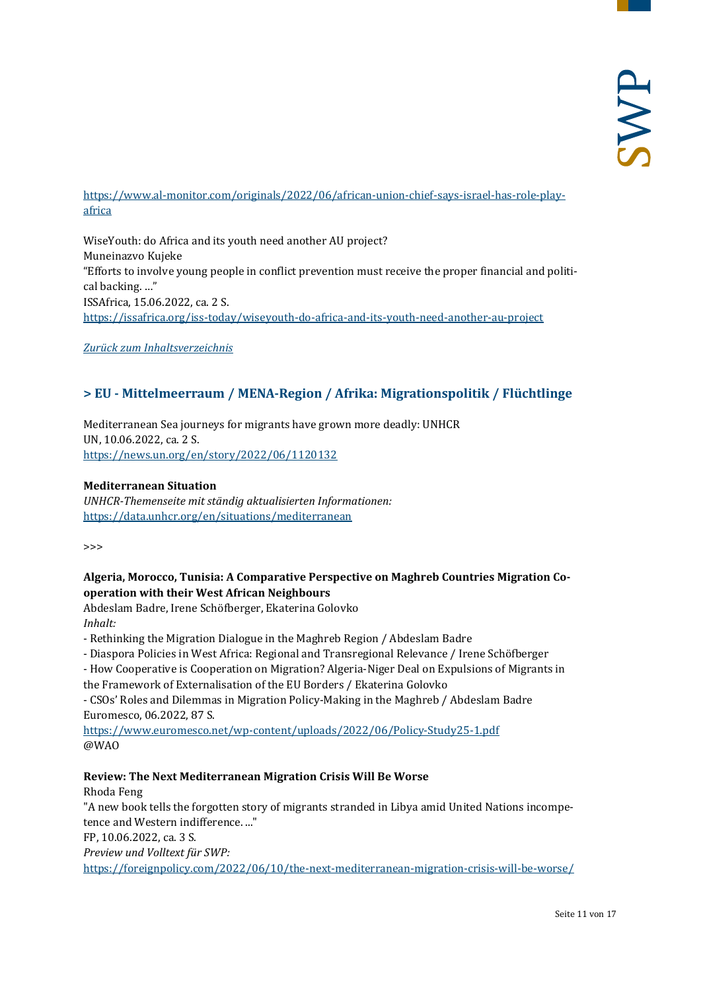# [https://www.al-monitor.com/originals/2022/06/african-union-chief-says-israel-has-role-play](https://www.al-monitor.com/originals/2022/06/african-union-chief-says-israel-has-role-play-africa)[africa](https://www.al-monitor.com/originals/2022/06/african-union-chief-says-israel-has-role-play-africa)

WiseYouth: do Africa and its youth need another AU project? Muneinazvo Kujeke "Efforts to involve young people in conflict prevention must receive the proper financial and political backing. …" ISSAfrica, 15.06.2022, ca. 2 S. <https://issafrica.org/iss-today/wiseyouth-do-africa-and-its-youth-need-another-au-project>

<span id="page-10-0"></span>*[Zurück zum Inhaltsverzeichnis](#page-0-0)*

# **> EU - Mittelmeerraum / MENA-Region / Afrika: Migrationspolitik / Flüchtlinge**

Mediterranean Sea journeys for migrants have grown more deadly: UNHCR UN, 10.06.2022, ca. 2 S. <https://news.un.org/en/story/2022/06/1120132>

#### **Mediterranean Situation**

*UNHCR-Themenseite mit ständig aktualisierten Informationen:* <https://data.unhcr.org/en/situations/mediterranean>

>>>

#### **Algeria, Morocco, Tunisia: A Comparative Perspective on Maghreb Countries Migration Cooperation with their West African Neighbours**

Abdeslam Badre, Irene Schöfberger, Ekaterina Golovko *Inhalt:*

- Rethinking the Migration Dialogue in the Maghreb Region / Abdeslam Badre
- Diaspora Policies in West Africa: Regional and Transregional Relevance / Irene Schöfberger
- How Cooperative is Cooperation on Migration? Algeria-Niger Deal on Expulsions of Migrants in
- the Framework of Externalisation of the EU Borders / Ekaterina Golovko

- CSOs' Roles and Dilemmas in Migration Policy-Making in the Maghreb / Abdeslam Badre Euromesco, 06.2022, 87 S.

<https://www.euromesco.net/wp-content/uploads/2022/06/Policy-Study25-1.pdf> @WAO

#### **Review: The Next Mediterranean Migration Crisis Will Be Worse**

Rhoda Feng

"A new book tells the forgotten story of migrants stranded in Libya amid United Nations incompetence and Western indifference. ..."

FP, 10.06.2022, ca. 3 S.

*Preview und Volltext für SWP:*

<https://foreignpolicy.com/2022/06/10/the-next-mediterranean-migration-crisis-will-be-worse/>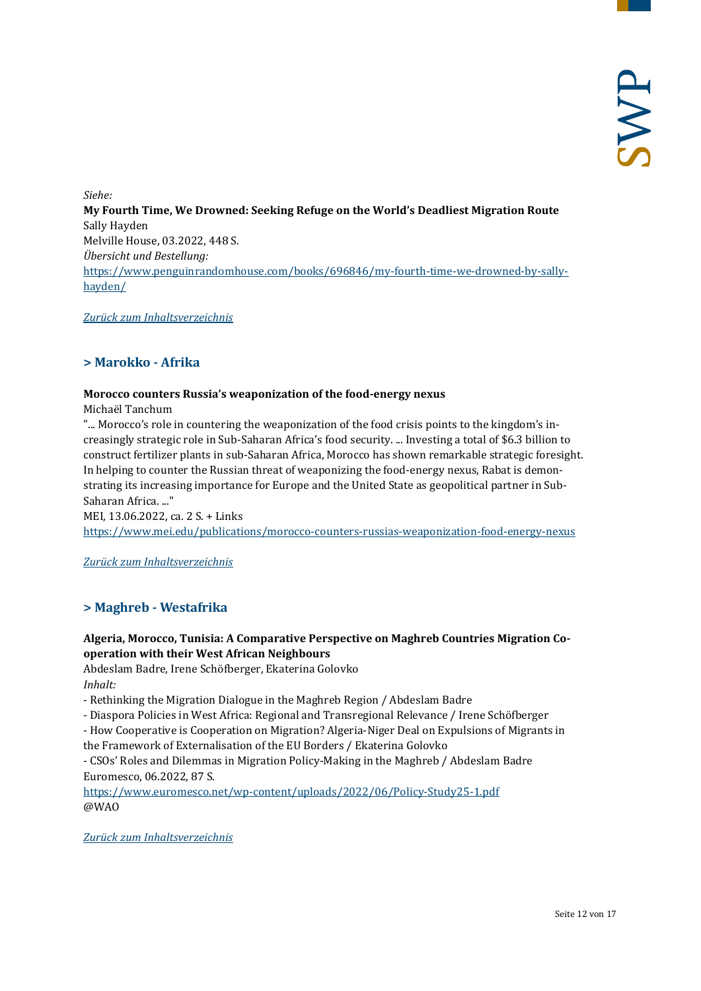*Siehe:* **My Fourth Time, We Drowned: Seeking Refuge on the World's Deadliest Migration Route** Sally Hayden Melville House, 03.2022, 448 S. *Übersicht und Bestellung:* [https://www.penguinrandomhouse.com/books/696846/my-fourth-time-we-drowned-by-sally](https://www.penguinrandomhouse.com/books/696846/my-fourth-time-we-drowned-by-sally-hayden/)[hayden/](https://www.penguinrandomhouse.com/books/696846/my-fourth-time-we-drowned-by-sally-hayden/)

<span id="page-11-0"></span>*[Zurück zum Inhaltsverzeichnis](#page-0-0)*

# **> Marokko - Afrika**

#### **Morocco counters Russia's weaponization of the food-energy nexus**

Michaël Tanchum

"... Morocco's role in countering the weaponization of the food crisis points to the kingdom's increasingly strategic role in Sub-Saharan Africa's food security. ... Investing a total of \$6.3 billion to construct fertilizer plants in sub-Saharan Africa, Morocco has shown remarkable strategic foresight. In helping to counter the Russian threat of weaponizing the food-energy nexus, Rabat is demonstrating its increasing importance for Europe and the United State as geopolitical partner in Sub-Saharan Africa. ..."

MEI, 13.06.2022, ca. 2 S. + Links <https://www.mei.edu/publications/morocco-counters-russias-weaponization-food-energy-nexus>

<span id="page-11-1"></span>*[Zurück zum Inhaltsverzeichnis](#page-0-0)*

# **> Maghreb - Westafrika**

#### **Algeria, Morocco, Tunisia: A Comparative Perspective on Maghreb Countries Migration Cooperation with their West African Neighbours**

Abdeslam Badre, Irene Schöfberger, Ekaterina Golovko *Inhalt:*

- Rethinking the Migration Dialogue in the Maghreb Region / Abdeslam Badre
- Diaspora Policies in West Africa: Regional and Transregional Relevance / Irene Schöfberger
- How Cooperative is Cooperation on Migration? Algeria-Niger Deal on Expulsions of Migrants in

the Framework of Externalisation of the EU Borders / Ekaterina Golovko

- CSOs' Roles and Dilemmas in Migration Policy-Making in the Maghreb / Abdeslam Badre Euromesco, 06.2022, 87 S.

<https://www.euromesco.net/wp-content/uploads/2022/06/Policy-Study25-1.pdf> @WAO

*[Zurück zum Inhaltsverzeichnis](#page-0-0)*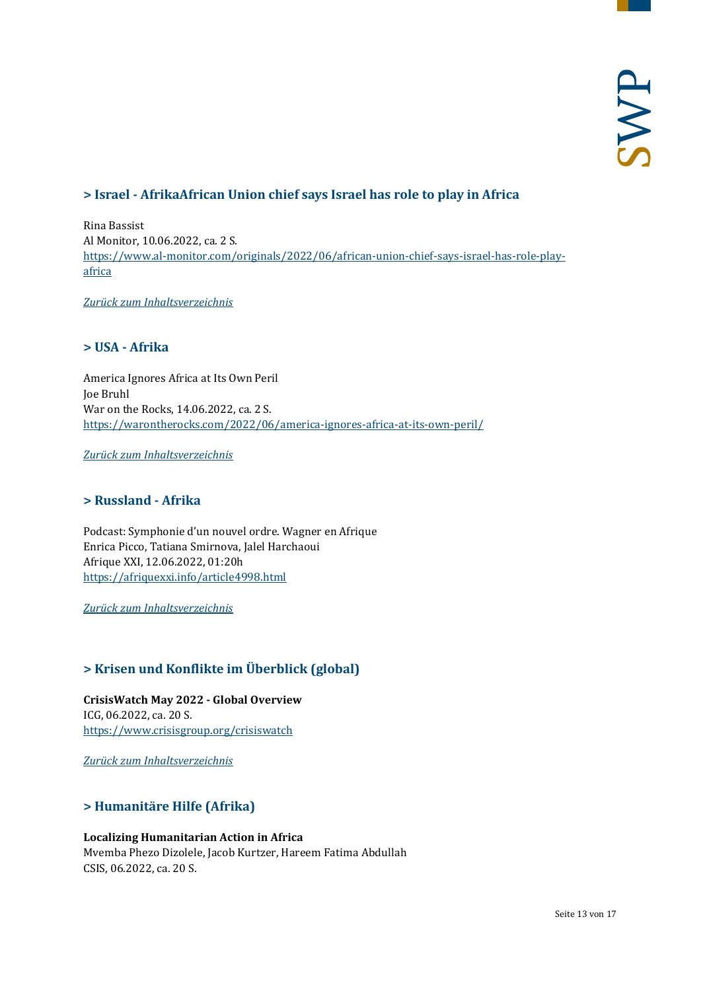# <span id="page-12-0"></span>**> Israel - AfrikaAfrican Union chief says Israel has role to play in Africa**

Rina Bassist Al Monitor, 10.06.2022, ca. 2 S. [https://www.al-monitor.com/originals/2022/06/african-union-chief-says-israel-has-role-play](https://www.al-monitor.com/originals/2022/06/african-union-chief-says-israel-has-role-play-africa)[africa](https://www.al-monitor.com/originals/2022/06/african-union-chief-says-israel-has-role-play-africa)

<span id="page-12-1"></span>*[Zurück zum Inhaltsverzeichnis](#page-0-0)*

#### **> USA - Afrika**

America Ignores Africa at Its Own Peril Joe Bruhl War on the Rocks, 14.06.2022, ca. 2 S. <https://warontherocks.com/2022/06/america-ignores-africa-at-its-own-peril/>

<span id="page-12-2"></span>*[Zurück zum Inhaltsverzeichnis](#page-0-0)*

# **> Russland - Afrika**

Podcast: Symphonie d'un nouvel ordre. Wagner en Afrique Enrica Picco, Tatiana Smirnova, Jalel Harchaoui Afrique XXI, 12.06.2022, 01:20h <https://afriquexxi.info/article4998.html>

<span id="page-12-3"></span>*[Zurück zum Inhaltsverzeichnis](#page-0-0)*

# **> Krisen und Konflikte im Überblick (global)**

**CrisisWatch May 2022 - Global Overview** ICG, 06.2022, ca. 20 S. <https://www.crisisgroup.org/crisiswatch>

<span id="page-12-4"></span>*[Zurück zum Inhaltsverzeichnis](#page-0-0)*

# **> Humanitäre Hilfe (Afrika)**

#### **Localizing Humanitarian Action in Africa**

Mvemba Phezo Dizolele, Jacob Kurtzer, Hareem Fatima Abdullah CSIS, 06.2022, ca. 20 S.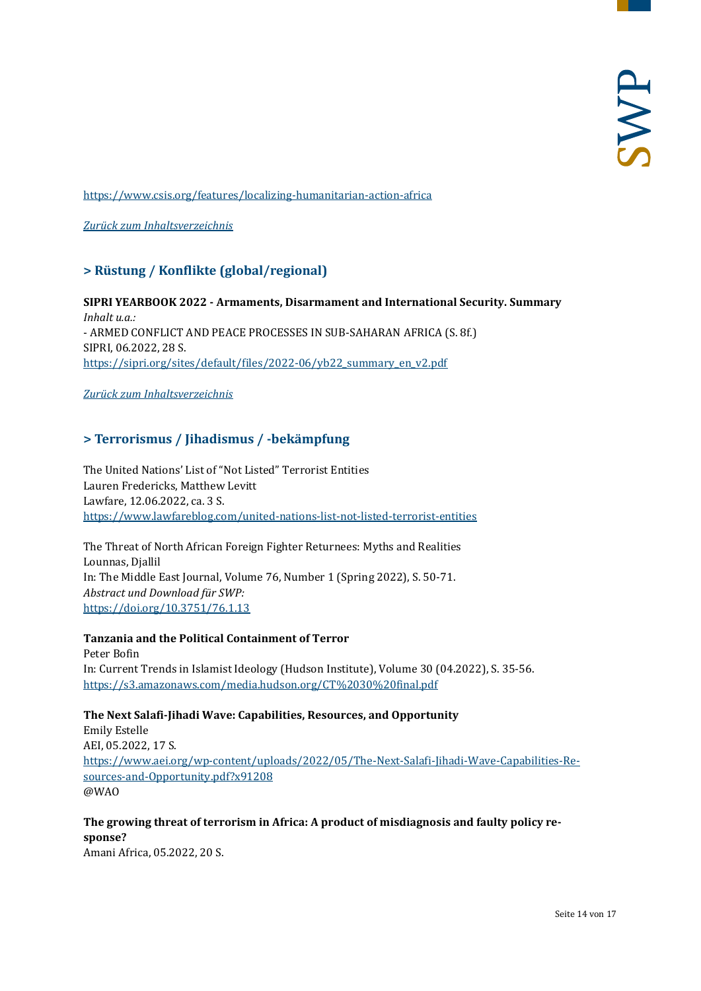<https://www.csis.org/features/localizing-humanitarian-action-africa>

<span id="page-13-0"></span>*[Zurück zum Inhaltsverzeichnis](#page-0-0)*

# **> Rüstung / Konflikte (global/regional)**

**SIPRI YEARBOOK 2022 - Armaments, Disarmament and International Security. Summary** *Inhalt u.a.:* - ARMED CONFLICT AND PEACE PROCESSES IN SUB-SAHARAN AFRICA (S. 8f.) SIPRI, 06.2022, 28 S. [https://sipri.org/sites/default/files/2022-06/yb22\\_summary\\_en\\_v2.pdf](https://sipri.org/sites/default/files/2022-06/yb22_summary_en_v2.pdf)

<span id="page-13-1"></span>*[Zurück zum Inhaltsverzeichnis](#page-0-0)*

# **> Terrorismus / Jihadismus / -bekämpfung**

The United Nations' List of "Not Listed" Terrorist Entities Lauren Fredericks, Matthew Levitt Lawfare, 12.06.2022, ca. 3 S. <https://www.lawfareblog.com/united-nations-list-not-listed-terrorist-entities>

The Threat of North African Foreign Fighter Returnees: Myths and Realities Lounnas, Djallil In: The Middle East Journal, Volume 76, Number 1 (Spring 2022), S. 50-71. *Abstract und Download für SWP:* <https://doi.org/10.3751/76.1.13>

#### **Tanzania and the Political Containment of Terror**

Peter Bofin In: Current Trends in Islamist Ideology (Hudson Institute), Volume 30 (04.2022), S. 35-56. <https://s3.amazonaws.com/media.hudson.org/CT%2030%20final.pdf>

#### **The Next Salafi-Jihadi Wave: Capabilities, Resources, and Opportunity**

Emily Estelle AEI, 05.2022, 17 S. [https://www.aei.org/wp-content/uploads/2022/05/The-Next-Salafi-Jihadi-Wave-Capabilities-Re](https://www.aei.org/wp-content/uploads/2022/05/The-Next-Salafi-Jihadi-Wave-Capabilities-Resources-and-Opportunity.pdf?x91208)[sources-and-Opportunity.pdf?x91208](https://www.aei.org/wp-content/uploads/2022/05/The-Next-Salafi-Jihadi-Wave-Capabilities-Resources-and-Opportunity.pdf?x91208) @WAO

# **The growing threat of terrorism in Africa: A product of misdiagnosis and faulty policy response?**

Amani Africa, 05.2022, 20 S.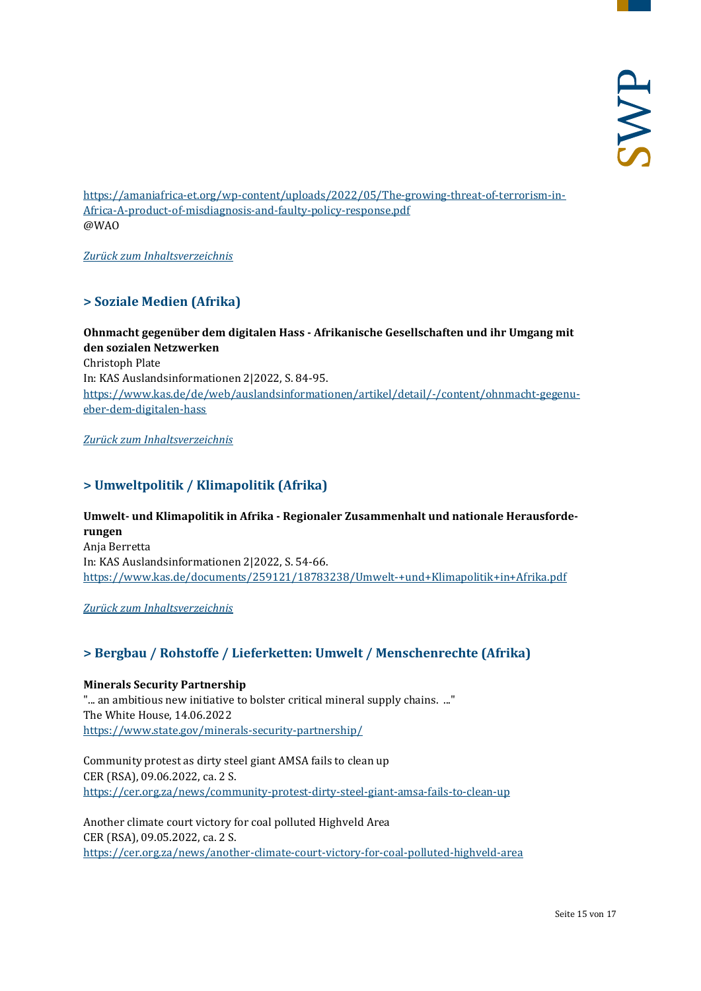[https://amaniafrica-et.org/wp-content/uploads/2022/05/The-growing-threat-of-terrorism-in-](https://amaniafrica-et.org/wp-content/uploads/2022/05/The-growing-threat-of-terrorism-in-Africa-A-product-of-misdiagnosis-and-faulty-policy-response.pdf)[Africa-A-product-of-misdiagnosis-and-faulty-policy-response.pdf](https://amaniafrica-et.org/wp-content/uploads/2022/05/The-growing-threat-of-terrorism-in-Africa-A-product-of-misdiagnosis-and-faulty-policy-response.pdf) @WAO

<span id="page-14-0"></span>*[Zurück zum Inhaltsverzeichnis](#page-0-0)*

# **> Soziale Medien (Afrika)**

**Ohnmacht gegenüber dem digitalen Hass - Afrikanische Gesellschaften und ihr Umgang mit den sozialen Netzwerken** Christoph Plate In: KAS Auslandsinformationen 2|2022, S. 84-95. [https://www.kas.de/de/web/auslandsinformationen/artikel/detail/-/content/ohnmacht-gegenu](https://www.kas.de/de/web/auslandsinformationen/artikel/detail/-/content/ohnmacht-gegenueber-dem-digitalen-hass)[eber-dem-digitalen-hass](https://www.kas.de/de/web/auslandsinformationen/artikel/detail/-/content/ohnmacht-gegenueber-dem-digitalen-hass)

<span id="page-14-1"></span>*[Zurück zum Inhaltsverzeichnis](#page-0-0)*

# **> Umweltpolitik / Klimapolitik (Afrika)**

**Umwelt- und Klimapolitik in Afrika - Regionaler Zusammenhalt und nationale Herausforderungen** Anja Berretta In: KAS Auslandsinformationen 2|2022, S. 54-66. <https://www.kas.de/documents/259121/18783238/Umwelt-+und+Klimapolitik+in+Afrika.pdf>

<span id="page-14-2"></span>*[Zurück zum Inhaltsverzeichnis](#page-0-0)*

# **> Bergbau / Rohstoffe / Lieferketten: Umwelt / Menschenrechte (Afrika)**

**Minerals Security Partnership**  "... an ambitious new initiative to bolster critical mineral supply chains. ..." The White House, 14.06.2022 <https://www.state.gov/minerals-security-partnership/>

Community protest as dirty steel giant AMSA fails to clean up CER (RSA), 09.06.2022, ca. 2 S. <https://cer.org.za/news/community-protest-dirty-steel-giant-amsa-fails-to-clean-up>

Another climate court victory for coal polluted Highveld Area CER (RSA), 09.05.2022, ca. 2 S. <https://cer.org.za/news/another-climate-court-victory-for-coal-polluted-highveld-area>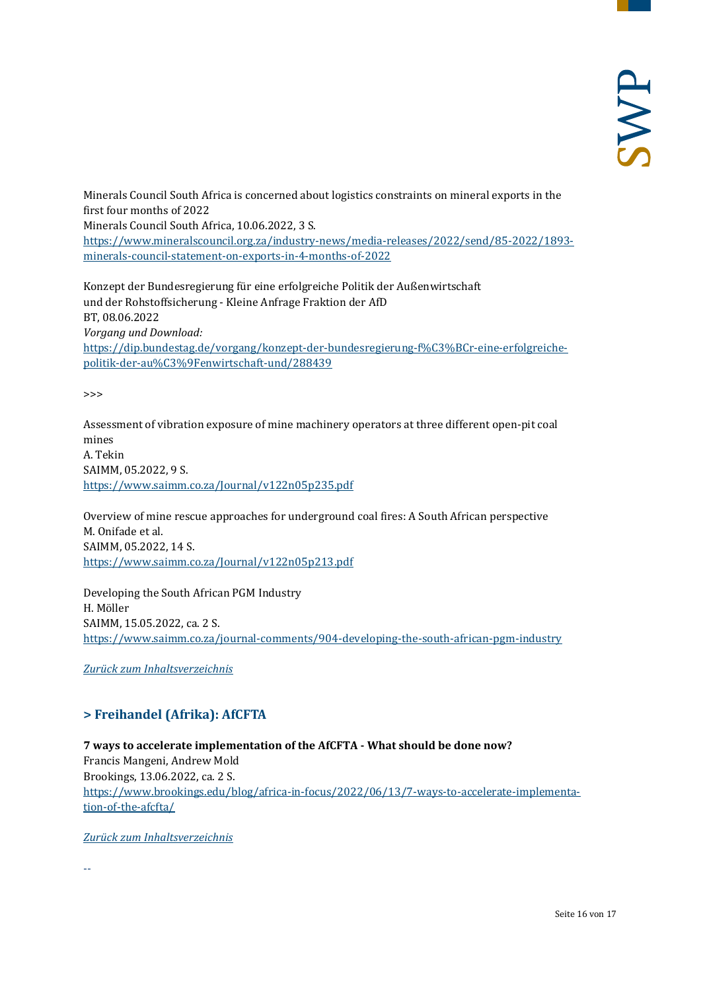Minerals Council South Africa is concerned about logistics constraints on mineral exports in the first four months of 2022 Minerals Council South Africa, 10.06.2022, 3 S. [https://www.mineralscouncil.org.za/industry-news/media-releases/2022/send/85-2022/1893](https://www.mineralscouncil.org.za/industry-news/media-releases/2022/send/85-2022/1893-minerals-council-statement-on-exports-in-4-months-of-2022) [minerals-council-statement-on-exports-in-4-months-of-2022](https://www.mineralscouncil.org.za/industry-news/media-releases/2022/send/85-2022/1893-minerals-council-statement-on-exports-in-4-months-of-2022)

Konzept der Bundesregierung für eine erfolgreiche Politik der Außenwirtschaft und der Rohstoffsicherung - Kleine Anfrage Fraktion der AfD BT, 08.06.2022 *Vorgang und Download:* [https://dip.bundestag.de/vorgang/konzept-der-bundesregierung-f%C3%BCr-eine-erfolgreiche](https://dip.bundestag.de/vorgang/konzept-der-bundesregierung-f%C3%BCr-eine-erfolgreiche-politik-der-au%C3%9Fenwirtschaft-und/288439)[politik-der-au%C3%9Fenwirtschaft-und/288439](https://dip.bundestag.de/vorgang/konzept-der-bundesregierung-f%C3%BCr-eine-erfolgreiche-politik-der-au%C3%9Fenwirtschaft-und/288439)

>>>

Assessment of vibration exposure of mine machinery operators at three different open-pit coal mines A. Tekin SAIMM, 05.2022, 9 S. <https://www.saimm.co.za/Journal/v122n05p235.pdf>

Overview of mine rescue approaches for underground coal fires: A South African perspective M. Onifade et al. SAIMM, 05.2022, 14 S. <https://www.saimm.co.za/Journal/v122n05p213.pdf>

Developing the South African PGM Industry H. Möller SAIMM, 15.05.2022, ca. 2 S. <https://www.saimm.co.za/journal-comments/904-developing-the-south-african-pgm-industry>

<span id="page-15-0"></span>*[Zurück zum Inhaltsverzeichnis](#page-0-0)*

# **> Freihandel (Afrika): AfCFTA**

**7 ways to accelerate implementation of the AfCFTA - What should be done now?** Francis Mangeni, Andrew Mold Brookings, 13.06.2022, ca. 2 S. [https://www.brookings.edu/blog/africa-in-focus/2022/06/13/7-ways-to-accelerate-implementa](https://www.brookings.edu/blog/africa-in-focus/2022/06/13/7-ways-to-accelerate-implementation-of-the-afcfta/)[tion-of-the-afcfta/](https://www.brookings.edu/blog/africa-in-focus/2022/06/13/7-ways-to-accelerate-implementation-of-the-afcfta/)

*[Zurück zum Inhaltsverzeichnis](#page-0-0)*

--